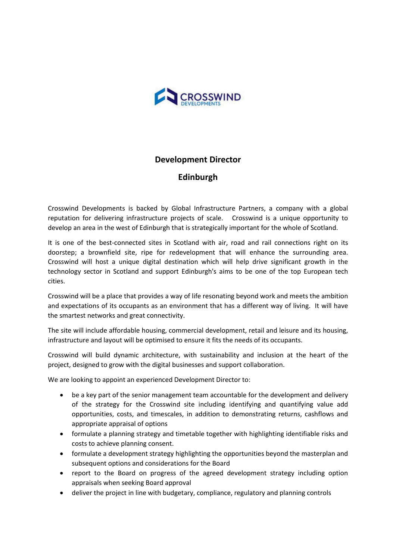

## **Development Director**

## **Edinburgh**

Crosswind Developments is backed by Global Infrastructure Partners, a company with a global reputation for delivering infrastructure projects of scale. Crosswind is a unique opportunity to develop an area in the west of Edinburgh that is strategically important for the whole of Scotland.

It is one of the best-connected sites in Scotland with air, road and rail connections right on its doorstep; a brownfield site, ripe for redevelopment that will enhance the surrounding area. Crosswind will host a unique digital destination which will help drive significant growth in the technology sector in Scotland and support Edinburgh's aims to be one of the top European tech cities.

Crosswind will be a place that provides a way of life resonating beyond work and meets the ambition and expectations of its occupants as an environment that has a different way of living. It will have the smartest networks and great connectivity.

The site will include affordable housing, commercial development, retail and leisure and its housing, infrastructure and layout will be optimised to ensure it fits the needs of its occupants.

Crosswind will build dynamic architecture, with sustainability and inclusion at the heart of the project, designed to grow with the digital businesses and support collaboration.

We are looking to appoint an experienced Development Director to:

- be a key part of the senior management team accountable for the development and delivery of the strategy for the Crosswind site including identifying and quantifying value add opportunities, costs, and timescales, in addition to demonstrating returns, cashflows and appropriate appraisal of options
- formulate a planning strategy and timetable together with highlighting identifiable risks and costs to achieve planning consent.
- formulate a development strategy highlighting the opportunities beyond the masterplan and subsequent options and considerations for the Board
- report to the Board on progress of the agreed development strategy including option appraisals when seeking Board approval
- deliver the project in line with budgetary, compliance, regulatory and planning controls